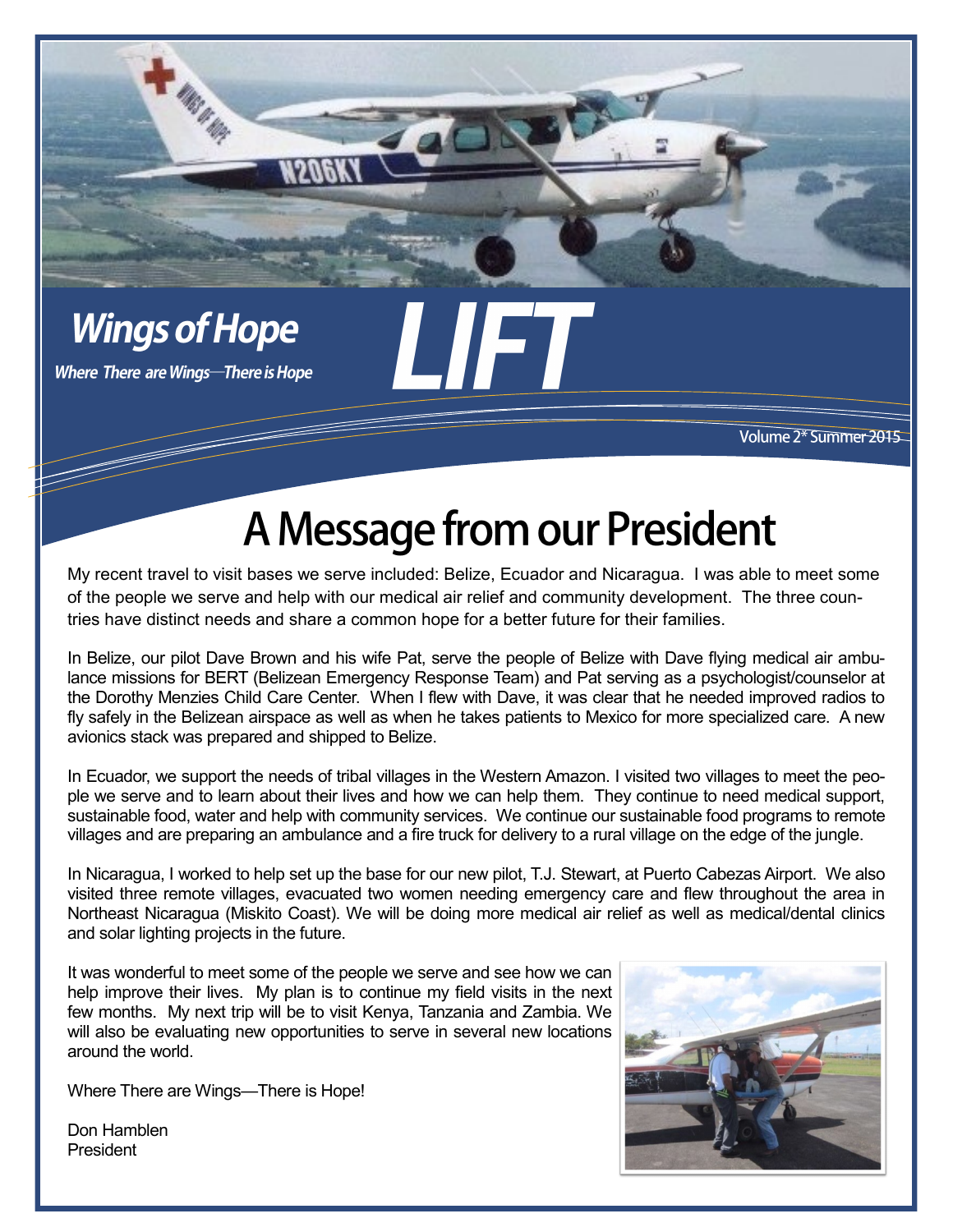

**ING ET ROP** 

Volume 2\* Summer 2015

## A Message from our President

My recent travel to visit bases we serve included: Belize, Ecuador and Nicaragua. I was able to meet some of the people we serve and help with our medical air relief and community development. The three countries have distinct needs and share a common hope for a better future for their families.

In Belize, our pilot Dave Brown and his wife Pat, serve the people of Belize with Dave flying medical air ambulance missions for BERT (Belizean Emergency Response Team) and Pat serving as a psychologist/counselor at the Dorothy Menzies Child Care Center. When I flew with Dave, it was clear that he needed improved radios to fly safely in the Belizean airspace as well as when he takes patients to Mexico for more specialized care. A new avionics stack was prepared and shipped to Belize.

In Ecuador, we support the needs of tribal villages in the Western Amazon. I visited two villages to meet the people we serve and to learn about their lives and how we can help them. They continue to need medical support, sustainable food, water and help with community services. We continue our sustainable food programs to remote villages and are preparing an ambulance and a fire truck for delivery to a rural village on the edge of the jungle.

In Nicaragua, I worked to help set up the base for our new pilot, T.J. Stewart, at Puerto Cabezas Airport. We also visited three remote villages, evacuated two women needing emergency care and flew throughout the area in Northeast Nicaragua (Miskito Coast). We will be doing more medical air relief as well as medical/dental clinics and solar lighting projects in the future.

It was wonderful to meet some of the people we serve and see how we can help improve their lives. My plan is to continue my field visits in the next few months. My next trip will be to visit Kenya, Tanzania and Zambia. We will also be evaluating new opportunities to serve in several new locations around the world.

Where There are Wings—There is Hope!



1

Don Hamblen President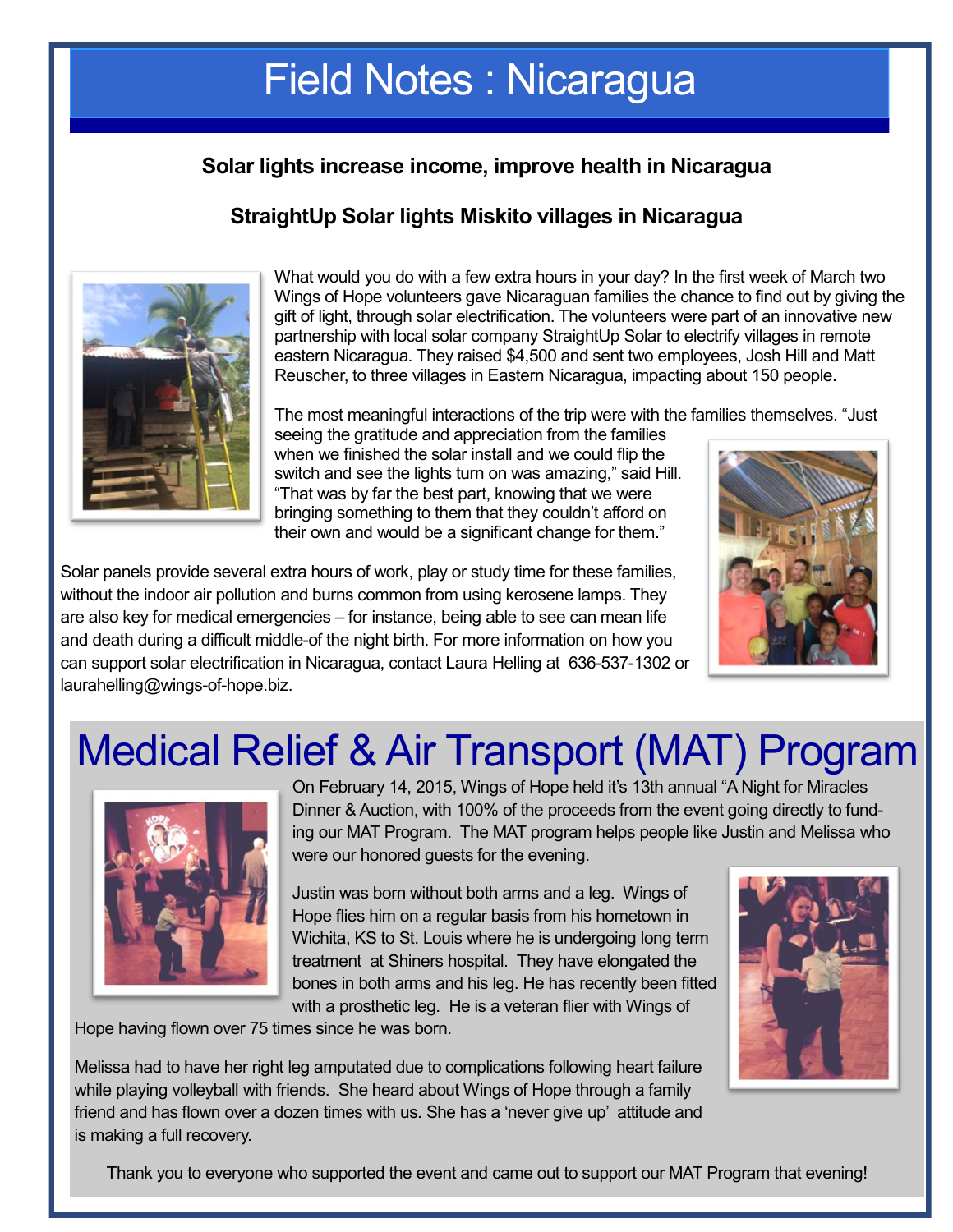### Field Notes : Nicaragua

### **Solar lights increase income, improve health in Nicaragua**

### **StraightUp Solar lights Miskito villages in Nicaragua**



What would you do with a few extra hours in your day? In the first week of March two Wings of Hope volunteers gave Nicaraguan families the chance to find out by giving the gift of light, through solar electrification. The volunteers were part of an innovative new partnership with local solar company StraightUp Solar to electrify villages in remote eastern Nicaragua. They raised \$4,500 and sent two employees, Josh Hill and Matt Reuscher, to three villages in Eastern Nicaragua, impacting about 150 people.

The most meaningful interactions of the trip were with the families themselves. "Just seeing the gratitude and appreciation from the families when we finished the solar install and we could flip the switch and see the lights turn on was amazing," said Hill. "That was by far the best part, knowing that we were

Solar panels provide several extra hours of work, play or study time for these families, without the indoor air pollution and burns common from using kerosene lamps. They are also key for medical emergencies – for instance, being able to see can mean life and death during a difficult middle-of the night birth. For more information on how you can support solar electrification in Nicaragua, contact Laura Helling at 636-537-1302 or laurahelling@wings-of-hope.biz.



## Medical Relief & Air Transport (MAT) Program

bringing something to them that they couldn't afford on their own and would be a significant change for them."



On February 14, 2015, Wings of Hope held it's 13th annual "A Night for Miracles Dinner & Auction, with 100% of the proceeds from the event going directly to funding our MAT Program. The MAT program helps people like Justin and Melissa who were our honored guests for the evening.

Justin was born without both arms and a leg. Wings of Hope flies him on a regular basis from his hometown in Wichita, KS to St. Louis where he is undergoing long term treatment at Shiners hospital. They have elongated the bones in both arms and his leg. He has recently been fitted with a prosthetic leg. He is a veteran flier with Wings of

Hope having flown over 75 times since he was born.

Melissa had to have her right leg amputated due to complications following heart failure while playing volleyball with friends. She heard about Wings of Hope through a family friend and has flown over a dozen times with us. She has a 'never give up' attitude and is making a full recovery.

Thank you to everyone who supported the event and came out to support our MAT Program that evening!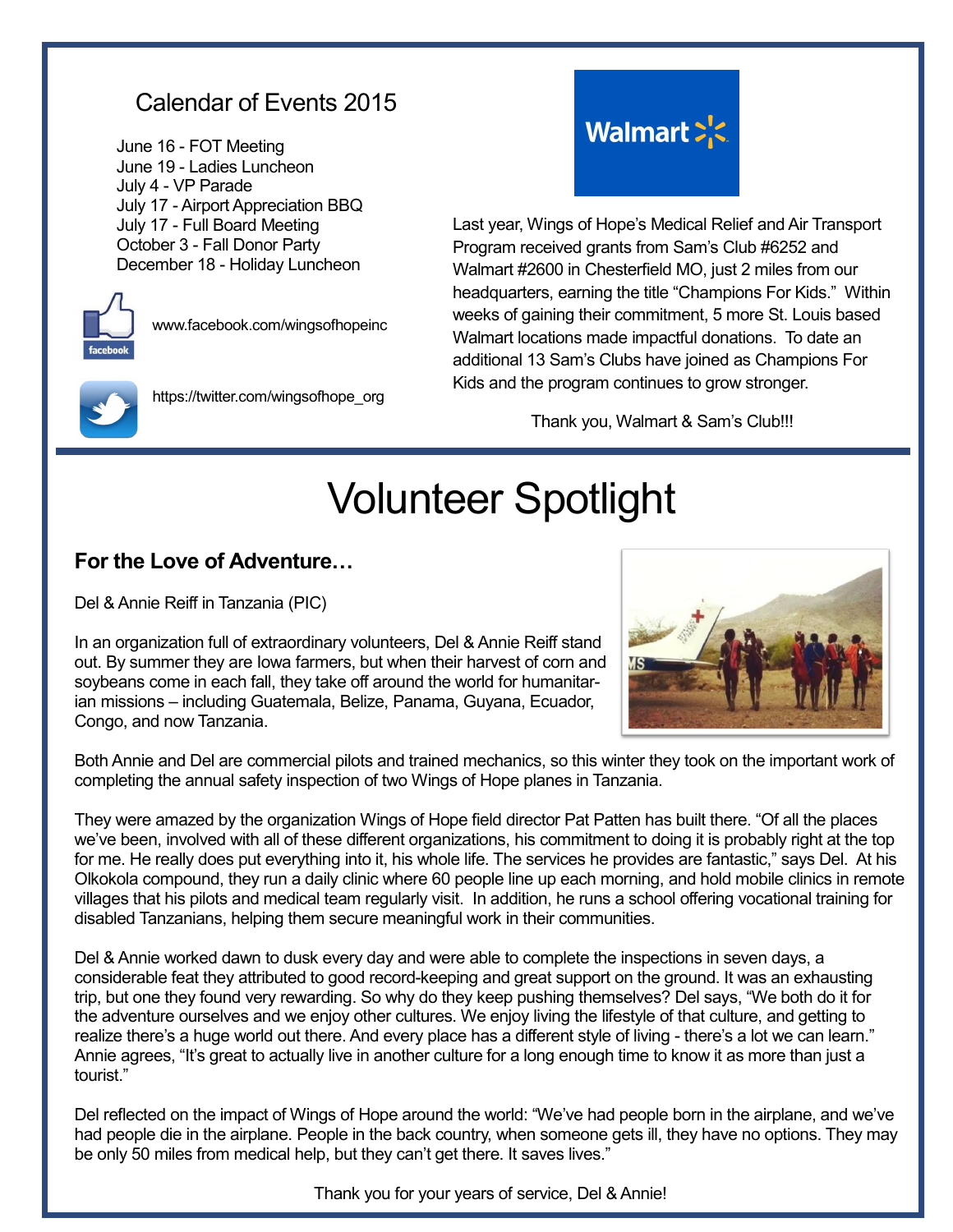### Calendar of Events 2015

June 16 - FOT Meeting June 19 - Ladies Luncheon July 4 - VP Parade July 17 - Airport Appreciation BBQ July 17 - Full Board Meeting October 3 - Fall Donor Party December 18 - Holiday Luncheon



www.facebook.com/wingsofhopeinc



https://twitter.com/wingsofhope\_org



Last year, Wings of Hope's Medical Relief and Air Transport Program received grants from Sam's Club #6252 and Walmart #2600 in Chesterfield MO, just 2 miles from our headquarters, earning the title "Champions For Kids." Within weeks of gaining their commitment, 5 more St. Louis based Walmart locations made impactful donations. To date an additional 13 Sam's Clubs have joined as Champions For Kids and the program continues to grow stronger.

Thank you, Walmart & Sam's Club!!!

# Volunteer Spotlight

#### **For the Love of Adventure…**

Del & Annie Reiff in Tanzania (PIC)

In an organization full of extraordinary volunteers, Del & Annie Reiff stand out. By summer they are Iowa farmers, but when their harvest of corn and soybeans come in each fall, they take off around the world for humanitarian missions – including Guatemala, Belize, Panama, Guyana, Ecuador, Congo, and now Tanzania.



Both Annie and Del are commercial pilots and trained mechanics, so this winter they took on the important work of completing the annual safety inspection of two Wings of Hope planes in Tanzania.

They were amazed by the organization Wings of Hope field director Pat Patten has built there. "Of all the places we've been, involved with all of these different organizations, his commitment to doing it is probably right at the top for me. He really does put everything into it, his whole life. The services he provides are fantastic," says Del. At his Olkokola compound, they run a daily clinic where 60 people line up each morning, and hold mobile clinics in remote villages that his pilots and medical team regularly visit. In addition, he runs a school offering vocational training for disabled Tanzanians, helping them secure meaningful work in their communities.

Del & Annie worked dawn to dusk every day and were able to complete the inspections in seven days, a considerable feat they attributed to good record-keeping and great support on the ground. It was an exhausting trip, but one they found very rewarding. So why do they keep pushing themselves? Del says, "We both do it for the adventure ourselves and we enjoy other cultures. We enjoy living the lifestyle of that culture, and getting to realize there's a huge world out there. And every place has a different style of living - there's a lot we can learn." Annie agrees, "It's great to actually live in another culture for a long enough time to know it as more than just a tourist."

Del reflected on the impact of Wings of Hope around the world: "We've had people born in the airplane, and we've had people die in the airplane. People in the back country, when someone gets ill, they have no options. They may be only 50 miles from medical help, but they can't get there. It saves lives."

Thank you for your years of service, Del & Annie!